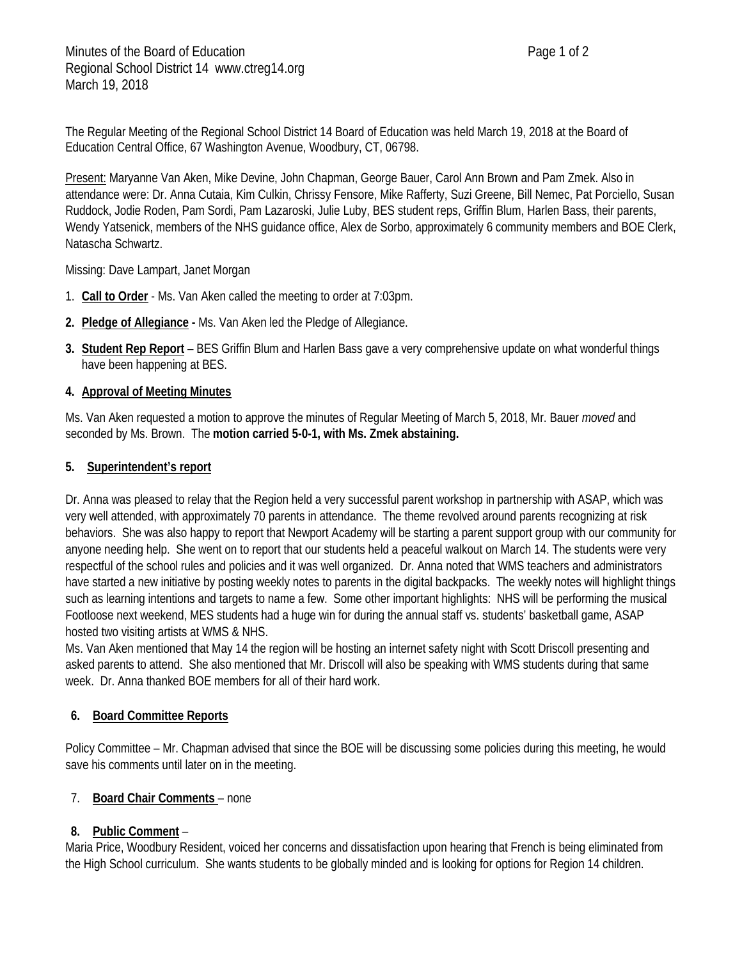The Regular Meeting of the Regional School District 14 Board of Education was held March 19, 2018 at the Board of Education Central Office, 67 Washington Avenue, Woodbury, CT, 06798.

Present: Maryanne Van Aken, Mike Devine, John Chapman, George Bauer, Carol Ann Brown and Pam Zmek. Also in attendance were: Dr. Anna Cutaia, Kim Culkin, Chrissy Fensore, Mike Rafferty, Suzi Greene, Bill Nemec, Pat Porciello, Susan Ruddock, Jodie Roden, Pam Sordi, Pam Lazaroski, Julie Luby, BES student reps, Griffin Blum, Harlen Bass, their parents, Wendy Yatsenick, members of the NHS guidance office, Alex de Sorbo, approximately 6 community members and BOE Clerk, Natascha Schwartz.

Missing: Dave Lampart, Janet Morgan

- 1. **Call to Order** Ms. Van Aken called the meeting to order at 7:03pm.
- **2. Pledge of Allegiance -** Ms. Van Aken led the Pledge of Allegiance.
- **3. Student Rep Report** BES Griffin Blum and Harlen Bass gave a very comprehensive update on what wonderful things have been happening at BES.

# **4. Approval of Meeting Minutes**

Ms. Van Aken requested a motion to approve the minutes of Regular Meeting of March 5, 2018, Mr. Bauer *moved* and seconded by Ms. Brown. The **motion carried 5-0-1, with Ms. Zmek abstaining.**

#### **5. Superintendent's report**

Dr. Anna was pleased to relay that the Region held a very successful parent workshop in partnership with ASAP, which was very well attended, with approximately 70 parents in attendance. The theme revolved around parents recognizing at risk behaviors. She was also happy to report that Newport Academy will be starting a parent support group with our community for anyone needing help. She went on to report that our students held a peaceful walkout on March 14. The students were very respectful of the school rules and policies and it was well organized. Dr. Anna noted that WMS teachers and administrators have started a new initiative by posting weekly notes to parents in the digital backpacks. The weekly notes will highlight things such as learning intentions and targets to name a few. Some other important highlights: NHS will be performing the musical Footloose next weekend, MES students had a huge win for during the annual staff vs. students' basketball game, ASAP hosted two visiting artists at WMS & NHS.

Ms. Van Aken mentioned that May 14 the region will be hosting an internet safety night with Scott Driscoll presenting and asked parents to attend. She also mentioned that Mr. Driscoll will also be speaking with WMS students during that same week. Dr. Anna thanked BOE members for all of their hard work.

# **6. Board Committee Reports**

Policy Committee – Mr. Chapman advised that since the BOE will be discussing some policies during this meeting, he would save his comments until later on in the meeting.

# 7. **Board Chair Comments** – none

# **8. Public Comment** –

Maria Price, Woodbury Resident, voiced her concerns and dissatisfaction upon hearing that French is being eliminated from the High School curriculum. She wants students to be globally minded and is looking for options for Region 14 children.